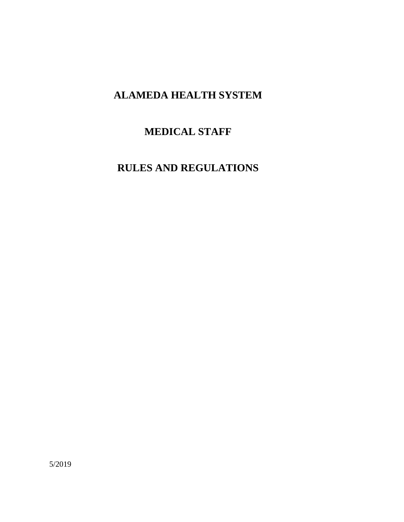# **ALAMEDA HEALTH SYSTEM**

# **MEDICAL STAFF**

# **RULES AND REGULATIONS**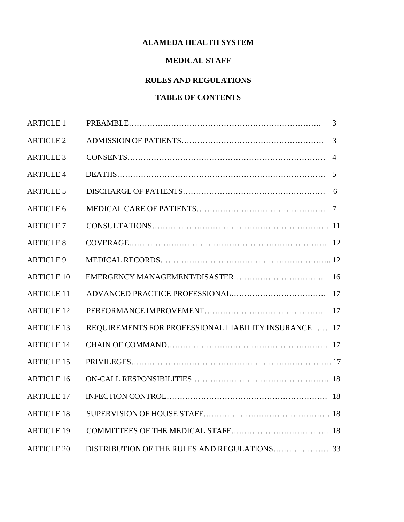# **ALAMEDA HEALTH SYSTEM**

# **MEDICAL STAFF**

# **RULES AND REGULATIONS**

# **TABLE OF CONTENTS**

| <b>ARTICLE 1</b>  |                                                      | 3 |
|-------------------|------------------------------------------------------|---|
| <b>ARTICLE 2</b>  |                                                      | 3 |
| <b>ARTICLE 3</b>  |                                                      |   |
| <b>ARTICLE 4</b>  |                                                      |   |
| <b>ARTICLE 5</b>  |                                                      | 6 |
| <b>ARTICLE 6</b>  |                                                      |   |
| <b>ARTICLE 7</b>  |                                                      |   |
| <b>ARTICLE 8</b>  |                                                      |   |
| <b>ARTICLE 9</b>  |                                                      |   |
| <b>ARTICLE 10</b> |                                                      |   |
| <b>ARTICLE 11</b> |                                                      |   |
| <b>ARTICLE 12</b> |                                                      |   |
| <b>ARTICLE 13</b> | REQUIREMENTS FOR PROFESSIONAL LIABILITY INSURANCE 17 |   |
| <b>ARTICLE 14</b> |                                                      |   |
| <b>ARTICLE 15</b> |                                                      |   |
| <b>ARTICLE 16</b> |                                                      |   |
| <b>ARTICLE 17</b> |                                                      |   |
| <b>ARTICLE 18</b> |                                                      |   |
| <b>ARTICLE 19</b> |                                                      |   |
| <b>ARTICLE 20</b> |                                                      |   |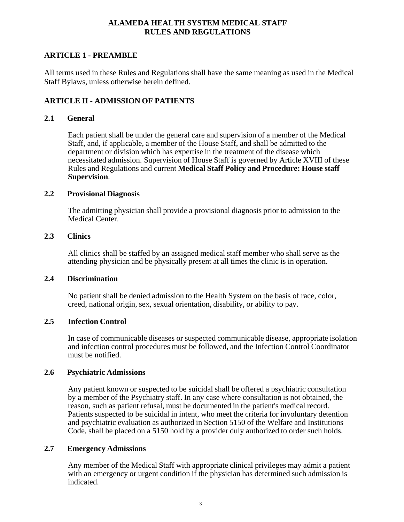## **ARTICLE 1 - PREAMBLE**

All terms used in these Rules and Regulations shall have the same meaning as used in the Medical Staff Bylaws, unless otherwise herein defined.

### **ARTICLE II - ADMISSION OF PATIENTS**

#### **2.1 General**

Each patient shall be under the general care and supervision of a member of the Medical Staff, and, if applicable, a member of the House Staff, and shall be admitted to the department or division which has expertise in the treatment of the disease which necessitated admission. Supervision of House Staff is governed by Article XVIII of these Rules and Regulations and current **Medical Staff Policy and Procedure: House staff Supervision**.

#### **2.2 Provisional Diagnosis**

The admitting physician shall provide a provisional diagnosis prior to admission to the Medical Center.

#### **2.3 Clinics**

All clinics shall be staffed by an assigned medical staff member who shall serve as the attending physician and be physically present at all times the clinic is in operation.

#### **2.4 Discrimination**

No patient shall be denied admission to the Health System on the basis of race, color, creed, national origin, sex, sexual orientation, disability, or ability to pay.

#### **2.5 Infection Control**

In case of communicable diseases or suspected communicable disease, appropriate isolation and infection control procedures must be followed, and the Infection Control Coordinator must be notified.

#### **2.6 Psychiatric Admissions**

Any patient known or suspected to be suicidal shall be offered a psychiatric consultation by a member of the Psychiatry staff. In any case where consultation is not obtained, the reason, such as patient refusal, must be documented in the patient's medical record. Patients suspected to be suicidal in intent, who meet the criteria for involuntary detention and psychiatric evaluation as authorized in Section 5150 of the Welfare and Institutions Code, shall be placed on a 5150 hold by a provider duly authorized to order such holds.

#### **2.7 Emergency Admissions**

Any member of the Medical Staff with appropriate clinical privileges may admit a patient with an emergency or urgent condition if the physician has determined such admission is indicated.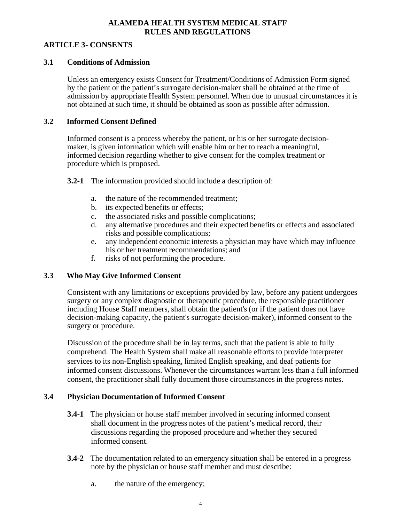#### **ARTICLE 3- CONSENTS**

#### **3.1 Conditions of Admission**

Unless an emergency exists Consent for Treatment/Conditions of Admission Form signed by the patient or the patient's surrogate decision-maker shall be obtained at the time of admission by appropriate Health System personnel. When due to unusual circumstances it is not obtained at such time, it should be obtained as soon as possible after admission.

### **3.2 Informed Consent Defined**

Informed consent is a process whereby the patient, or his or her surrogate decisionmaker, is given information which will enable him or her to reach a meaningful, informed decision regarding whether to give consent for the complex treatment or procedure which is proposed.

**3.2-1** The information provided should include a description of:

- a. the nature of the recommended treatment;
- b. its expected benefits or effects;
- c. the associated risks and possible complications;
- d. any alternative procedures and their expected benefits or effects and associated risks and possible complications;
- e. any independent economic interests a physician may have which may influence his or her treatment recommendations; and
- f. risks of not performing the procedure.

## **3.3 Who May Give Informed Consent**

Consistent with any limitations or exceptions provided by law, before any patient undergoes surgery or any complex diagnostic or therapeutic procedure, the responsible practitioner including House Staff members, shall obtain the patient's (or if the patient does not have decision-making capacity, the patient's surrogate decision-maker), informed consent to the surgery or procedure.

Discussion of the procedure shall be in lay terms, such that the patient is able to fully comprehend. The Health System shall make all reasonable efforts to provide interpreter services to its non-English speaking, limited English speaking, and deaf patients for informed consent discussions. Whenever the circumstances warrant less than a full informed consent, the practitioner shall fully document those circumstances in the progress notes.

## **3.4 Physician Documentation of Informed Consent**

- **3.4-1** The physician or house staff member involved in securing informed consent shall document in the progress notes of the patient's medical record, their discussions regarding the proposed procedure and whether they secured informed consent.
- **3.4-2** The documentation related to an emergency situation shall be entered in a progress note by the physician or house staff member and must describe:
	- a. the nature of the emergency;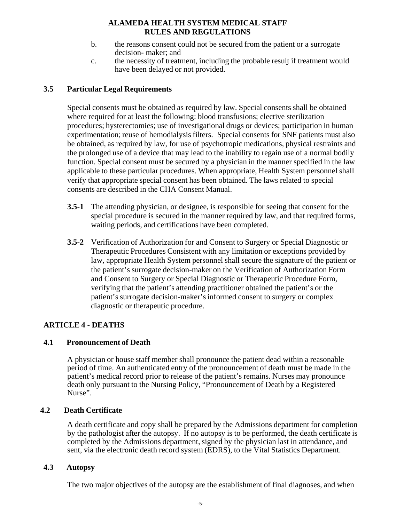- b. the reasons consent could not be secured from the patient or a surrogate decision- maker; and
- c. the necessity of treatment, including the probable result if treatment would have been delayed or not provided.

## **3.5 Particular Legal Requirements**

Special consents must be obtained as required by law. Special consents shall be obtained where required for at least the following: blood transfusions; elective sterilization procedures; hysterectomies; use of investigational drugs or devices; participation in human experimentation; reuse of hemodialysis filters. Special consents for SNF patients must also be obtained, as required by law, for use of psychotropic medications, physical restraints and the prolonged use of a device that may lead to the inability to regain use of a normal bodily function. Special consent must be secured by a physician in the manner specified in the law applicable to these particular procedures. When appropriate, Health System personnel shall verify that appropriate special consent has been obtained. The laws related to special consents are described in the CHA Consent Manual.

- **3.5-1** The attending physician, or designee, is responsible for seeing that consent for the special procedure is secured in the manner required by law, and that required forms, waiting periods, and certifications have been completed.
- **3.5-2** Verification of Authorization for and Consent to Surgery or Special Diagnostic or Therapeutic Procedures Consistent with any limitation or exceptions provided by law, appropriate Health System personnel shall secure the signature of the patient or the patient's surrogate decision-maker on the Verification of Authorization Form and Consent to Surgery or Special Diagnostic or Therapeutic Procedure Form, verifying that the patient's attending practitioner obtained the patient's or the patient's surrogate decision-maker's informed consent to surgery or complex diagnostic or therapeutic procedure.

## **ARTICLE 4 - DEATHS**

## **4.1 Pronouncement of Death**

A physician or house staff member shall pronounce the patient dead within a reasonable period of time. An authenticated entry of the pronouncement of death must be made in the patient's medical record prior to release of the patient's remains. Nurses may pronounce death only pursuant to the Nursing Policy, "Pronouncement of Death by a Registered Nurse".

## **4.2 Death Certificate**

A death certificate and copy shall be prepared by the Admissions department for completion by the pathologist after the autopsy. If no autopsy is to be performed, the death certificate is completed by the Admissions department, signed by the physician last in attendance, and sent, via the electronic death record system (EDRS), to the Vital Statistics Department.

#### **4.3 Autopsy**

The two major objectives of the autopsy are the establishment of final diagnoses, and when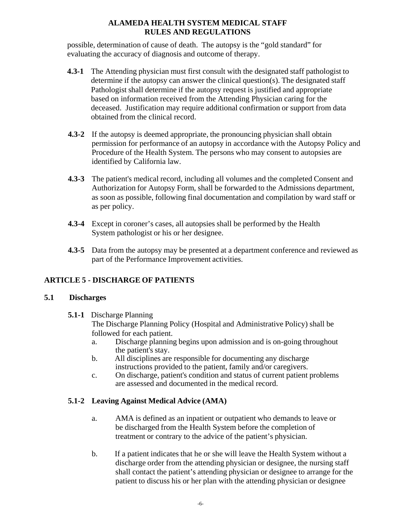possible, determination of cause of death. The autopsy is the "gold standard" for evaluating the accuracy of diagnosis and outcome of therapy.

- **4.3-1** The Attending physician must first consult with the designated staff pathologist to determine if the autopsy can answer the clinical question(s). The designated staff Pathologist shall determine if the autopsy request is justified and appropriate based on information received from the Attending Physician caring for the deceased. Justification may require additional confirmation or support from data obtained from the clinical record.
- **4.3-2** If the autopsy is deemed appropriate, the pronouncing physician shall obtain permission for performance of an autopsy in accordance with the Autopsy Policy and Procedure of the Health System. The persons who may consent to autopsies are identified by California law.
- **4.3-3** The patient's medical record, including all volumes and the completed Consent and Authorization for Autopsy Form, shall be forwarded to the Admissions department, as soon as possible, following final documentation and compilation by ward staff or as per policy.
- **4.3-4** Except in coroner's cases, all autopsies shall be performed by the Health System pathologist or his or her designee.
- **4.3-5** Data from the autopsy may be presented at a department conference and reviewed as part of the Performance Improvement activities.

# **ARTICLE 5 - DISCHARGE OF PATIENTS**

## **5.1 Discharges**

# **5.1-1** Discharge Planning

The Discharge Planning Policy (Hospital and Administrative Policy) shall be followed for each patient.

- a. Discharge planning begins upon admission and is on-going throughout the patient's stay.
- b. All disciplines are responsible for documenting any discharge instructions provided to the patient, family and/or caregivers.
- c. On discharge, patient's condition and status of current patient problems are assessed and documented in the medical record.

# **5.1-2 Leaving Against Medical Advice (AMA)**

- a. AMA is defined as an inpatient or outpatient who demands to leave or be discharged from the Health System before the completion of treatment or contrary to the advice of the patient's physician.
- b. If a patient indicates that he or she will leave the Health System without a discharge order from the attending physician or designee, the nursing staff shall contact the patient's attending physician or designee to arrange for the patient to discuss his or her plan with the attending physician or designee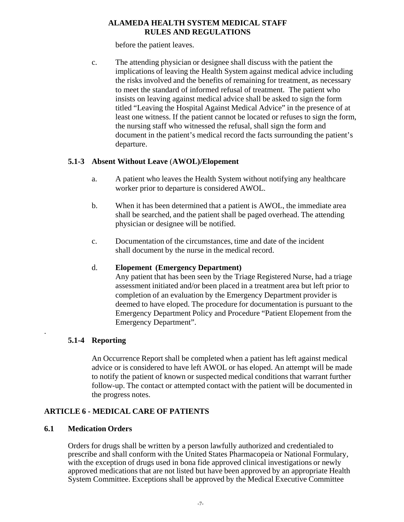before the patient leaves.

c. The attending physician or designee shall discuss with the patient the implications of leaving the Health System against medical advice including the risks involved and the benefits of remaining for treatment, as necessary to meet the standard of informed refusal of treatment. The patient who insists on leaving against medical advice shall be asked to sign the form titled "Leaving the Hospital Against Medical Advice" in the presence of at least one witness. If the patient cannot be located or refuses to sign the form, the nursing staff who witnessed the refusal, shall sign the form and document in the patient's medical record the facts surrounding the patient's departure.

## **5.1-3 Absent Without Leave** (**AWOL)/Elopement**

- a. A patient who leaves the Health System without notifying any healthcare worker prior to departure is considered AWOL.
- b. When it has been determined that a patient is AWOL, the immediate area shall be searched, and the patient shall be paged overhead. The attending physician or designee will be notified.
- c. Documentation of the circumstances, time and date of the incident shall document by the nurse in the medical record.

## d. **Elopement (Emergency Department)**

Any patient that has been seen by the Triage Registered Nurse, had a triage assessment initiated and/or been placed in a treatment area but left prior to completion of an evaluation by the Emergency Department provider is deemed to have eloped. The procedure for documentation is pursuant to the Emergency Department Policy and Procedure "Patient Elopement from the Emergency Department".

## **5.1-4 Reporting**

.

An Occurrence Report shall be completed when a patient has left against medical advice or is considered to have left AWOL or has eloped. An attempt will be made to notify the patient of known or suspected medical conditions that warrant further follow-up. The contact or attempted contact with the patient will be documented in the progress notes.

# **ARTICLE 6 - MEDICAL CARE OF PATIENTS**

## **6.1 Medication Orders**

Orders for drugs shall be written by a person lawfully authorized and credentialed to prescribe and shall conform with the United States Pharmacopeia or National Formulary, with the exception of drugs used in bona fide approved clinical investigations or newly approved medications that are not listed but have been approved by an appropriate Health System Committee. Exceptions shall be approved by the Medical Executive Committee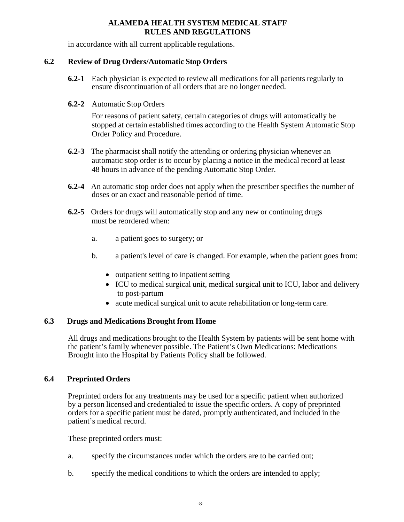in accordance with all current applicable regulations.

#### **6.2 Review of Drug Orders/Automatic Stop Orders**

- **6.2-1** Each physician is expected to review all medications for all patients regularly to ensure discontinuation of all orders that are no longer needed.
- **6.2-2** Automatic Stop Orders

For reasons of patient safety, certain categories of drugs will automatically be stopped at certain established times according to the Health System Automatic Stop Order Policy and Procedure.

- **6.2-3** The pharmacist shall notify the attending or ordering physician whenever an automatic stop order is to occur by placing a notice in the medical record at least 48 hours in advance of the pending Automatic Stop Order.
- **6.2-4** An automatic stop order does not apply when the prescriber specifies the number of doses or an exact and reasonable period of time.
- **6.2-5** Orders for drugs will automatically stop and any new or continuing drugs must be reordered when:
	- a. a patient goes to surgery; or
	- b. a patient's level of care is changed. For example, when the patient goes from:
		- outpatient setting to inpatient setting
		- ICU to medical surgical unit, medical surgical unit to ICU, labor and delivery to post-partum
		- acute medical surgical unit to acute rehabilitation or long-term care.

## **6.3 Drugs and Medications Brought from Home**

All drugs and medications brought to the Health System by patients will be sent home with the patient's family whenever possible. The Patient's Own Medications: Medications Brought into the Hospital by Patients Policy shall be followed.

## **6.4 Preprinted Orders**

Preprinted orders for any treatments may be used for a specific patient when authorized by a person licensed and credentialed to issue the specific orders. A copy of preprinted orders for a specific patient must be dated, promptly authenticated, and included in the patient's medical record.

These preprinted orders must:

- a. specify the circumstances under which the orders are to be carried out;
- b. specify the medical conditions to which the orders are intended to apply;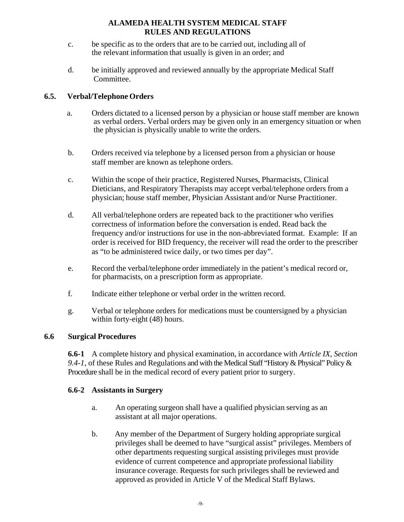- c. be specific as to the orders that are to be carried out, including all of the relevant information that usually is given in an order; and
- d. be initially approved and reviewed annually by the appropriate Medical Staff Committee.

## **6.5. Verbal/Telephone Orders**

- a. Orders dictated to a licensed person by a physician or house staff member are known as verbal orders. Verbal orders may be given only in an emergency situation or when the physician is physically unable to write the orders.
- b. Orders received via telephone by a licensed person from a physician or house staff member are known as telephone orders.
- c. Within the scope of their practice, Registered Nurses, Pharmacists, Clinical Dieticians, and Respiratory Therapists may accept verbal/telephone orders from a physician; house staff member, Physician Assistant and/or Nurse Practitioner.
- d. All verbal/telephone orders are repeated back to the practitioner who verifies correctness of information before the conversation is ended. Read back the frequency and/or instructions for use in the non-abbreviated format. Example: If an order is received for BID frequency, the receiver will read the order to the prescriber as "to be administered twice daily, or two times per day".
- e. Record the verbal/telephone order immediately in the patient's medical record or, for pharmacists, on a prescription form as appropriate.
- f. Indicate either telephone or verbal order in the written record.
- g. Verbal or telephone orders for medications must be countersigned by a physician within forty-eight (48) hours.

## **6.6 Surgical Procedures**

**6.6-1** A complete history and physical examination, in accordance with *Article IX, Section 9.4-1*, of these Rules and Regulations and with the Medical Staff "History & Physical" Policy & Procedure shall be in the medical record of every patient prior to surgery.

## **6.6-2 Assistants in Surgery**

- a. An operating surgeon shall have a qualified physician serving as an assistant at all major operations.
- b. Any member of the Department of Surgery holding appropriate surgical privileges shall be deemed to have "surgical assist" privileges. Members of other departments requesting surgical assisting privileges must provide evidence of current competence and appropriate professional liability insurance coverage. Requests for such privileges shall be reviewed and approved as provided in Article V of the Medical Staff Bylaws.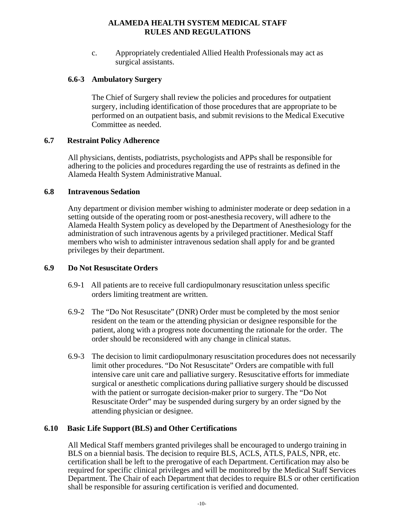c. Appropriately credentialed Allied Health Professionals may act as surgical assistants.

### **6.6-3 Ambulatory Surgery**

The Chief of Surgery shall review the policies and procedures for outpatient surgery, including identification of those procedures that are appropriate to be performed on an outpatient basis, and submit revisions to the Medical Executive Committee as needed.

#### **6.7 Restraint Policy Adherence**

All physicians, dentists, podiatrists, psychologists and APPs shall be responsible for adhering to the policies and procedures regarding the use of restraints as defined in the Alameda Health System Administrative Manual.

#### **6.8 Intravenous Sedation**

Any department or division member wishing to administer moderate or deep sedation in a setting outside of the operating room or post-anesthesia recovery, will adhere to the Alameda Health System policy as developed by the Department of Anesthesiology for the administration of such intravenous agents by a privileged practitioner. Medical Staff members who wish to administer intravenous sedation shall apply for and be granted privileges by their department.

#### **6.9 Do Not Resuscitate Orders**

- 6.9-1 All patients are to receive full cardiopulmonary resuscitation unless specific orders limiting treatment are written.
- 6.9-2 The "Do Not Resuscitate" (DNR) Order must be completed by the most senior resident on the team or the attending physician or designee responsible for the patient, along with a progress note documenting the rationale for the order. The order should be reconsidered with any change in clinical status.
- 6.9-3 The decision to limit cardiopulmonary resuscitation procedures does not necessarily limit other procedures. "Do Not Resuscitate" Orders are compatible with full intensive care unit care and palliative surgery. Resuscitative efforts for immediate surgical or anesthetic complications during palliative surgery should be discussed with the patient or surrogate decision-maker prior to surgery. The "Do Not Resuscitate Order" may be suspended during surgery by an order signed by the attending physician or designee.

## **6.10 Basic Life Support (BLS) and Other Certifications**

All Medical Staff members granted privileges shall be encouraged to undergo training in BLS on a biennial basis. The decision to require BLS, ACLS, ATLS, PALS, NPR, etc. certification shall be left to the prerogative of each Department. Certification may also be required for specific clinical privileges and will be monitored by the Medical Staff Services Department. The Chair of each Department that decides to require BLS or other certification shall be responsible for assuring certification is verified and documented.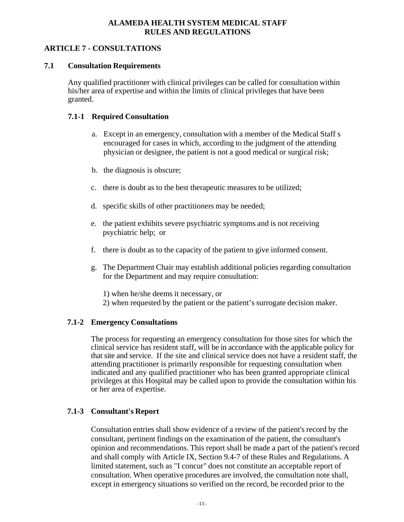## **ARTICLE 7 - CONSULTATIONS**

### **7.1 Consultation Requirements**

Any qualified practitioner with clinical privileges can be called for consultation within his/her area of expertise and within the limits of clinical privileges that have been granted.

### **7.1-1 Required Consultation**

- a. Except in an emergency, consultation with a member of the Medical Staff s encouraged for cases in which, according to the judgment of the attending physician or designee, the patient is not a good medical or surgical risk;
- b. the diagnosis is obscure;
- c. there is doubt as to the best therapeutic measures to be utilized;
- d. specific skills of other practitioners may be needed;
- e. the patient exhibits severe psychiatric symptoms and is not receiving psychiatric help; or
- f. there is doubt as to the capacity of the patient to give informed consent.
- g. The Department Chair may establish additional policies regarding consultation for the Department and may require consultation:
	- 1) when he/she deems it necessary, or
	- 2) when requested by the patient or the patient's surrogate decision maker.

## **7.1-2 Emergency Consultations**

The process for requesting an emergency consultation for those sites for which the clinical service has resident staff, will be in accordance with the applicable policy for that site and service. If the site and clinical service does not have a resident staff, the attending practitioner is primarily responsible for requesting consultation when indicated and any qualified practitioner who has been granted appropriate clinical privileges at this Hospital may be called upon to provide the consultation within his or her area of expertise.

## **7.1-3 Consultant's Report**

Consultation entries shall show evidence of a review of the patient's record by the consultant, pertinent findings on the examination of the patient, the consultant's opinion and recommendations. This report shall be made a part of the patient's record and shall comply with Article IX, Section 9.4-7 of these Rules and Regulations. A limited statement, such as "I concur" does not constitute an acceptable report of consultation. When operative procedures are involved, the consultation note shall, except in emergency situations so verified on the record, be recorded prior to the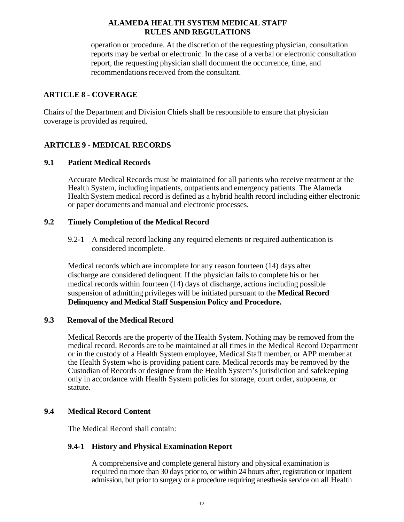operation or procedure. At the discretion of the requesting physician, consultation reports may be verbal or electronic. In the case of a verbal or electronic consultation report, the requesting physician shall document the occurrence, time, and recommendations received from the consultant.

## **ARTICLE 8 - COVERAGE**

Chairs of the Department and Division Chiefs shall be responsible to ensure that physician coverage is provided as required.

# **ARTICLE 9 - MEDICAL RECORDS**

## **9.1 Patient Medical Records**

Accurate Medical Records must be maintained for all patients who receive treatment at the Health System, including inpatients, outpatients and emergency patients. The Alameda Health System medical record is defined as a hybrid health record including either electronic or paper documents and manual and electronic processes.

### **9.2 Timely Completion of the Medical Record**

9.2-1 A medical record lacking any required elements or required authentication is considered incomplete.

Medical records which are incomplete for any reason fourteen (14) days after discharge are considered delinquent. If the physician fails to complete his or her medical records within fourteen (14) days of discharge, actions including possible suspension of admitting privileges will be initiated pursuant to the **Medical Record Delinquency and Medical Staff Suspension Policy and Procedure.**

## **9.3 Removal of the Medical Record**

Medical Records are the property of the Health System. Nothing may be removed from the medical record. Records are to be maintained at all times in the Medical Record Department or in the custody of a Health System employee, Medical Staff member, or APP member at the Health System who is providing patient care. Medical records may be removed by the Custodian of Records or designee from the Health System's jurisdiction and safekeeping only in accordance with Health System policies for storage, court order, subpoena, or statute.

## **9.4 Medical Record Content**

The Medical Record shall contain:

## **9.4-1 History and Physical Examination Report**

A comprehensive and complete general history and physical examination is required no more than 30 days prior to, or within 24 hours after, registration or inpatient admission, but prior to surgery or a procedure requiring anesthesia service on all Health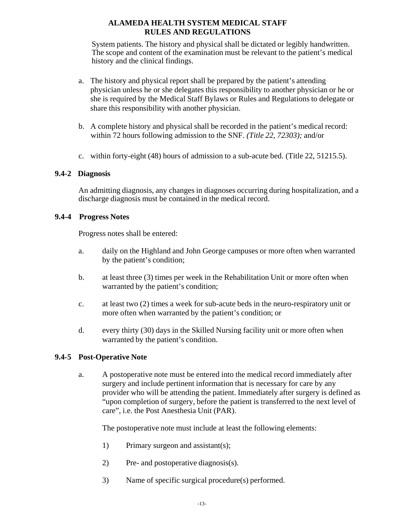System patients. The history and physical shall be dictated or legibly handwritten. The scope and content of the examination must be relevant to the patient's medical history and the clinical findings.

- a. The history and physical report shall be prepared by the patient's attending physician unless he or she delegates this responsibility to another physician or he or she is required by the Medical Staff Bylaws or Rules and Regulations to delegate or share this responsibility with another physician.
- b. A complete history and physical shall be recorded in the patient's medical record: within 72 hours following admission to the SNF. *(Title 22, 72303);* and/or
- c. within forty-eight (48) hours of admission to a sub-acute bed. (Title 22, 51215.5).

#### **9.4-2 Diagnosis**

An admitting diagnosis, any changes in diagnoses occurring during hospitalization, and a discharge diagnosis must be contained in the medical record.

### **9.4-4 Progress Notes**

Progress notes shall be entered:

- a. daily on the Highland and John George campuses or more often when warranted by the patient's condition;
- b. at least three (3) times per week in the Rehabilitation Unit or more often when warranted by the patient's condition;
- c. at least two (2) times a week for sub-acute beds in the neuro-respiratory unit or more often when warranted by the patient's condition; or
- d. every thirty (30) days in the Skilled Nursing facility unit or more often when warranted by the patient's condition.

## **9.4-5 Post-Operative Note**

a. A postoperative note must be entered into the medical record immediately after surgery and include pertinent information that is necessary for care by any provider who will be attending the patient. Immediately after surgery is defined as "upon completion of surgery, before the patient is transferred to the next level of care", i.e. the Post Anesthesia Unit (PAR).

The postoperative note must include at least the following elements:

- 1) Primary surgeon and assistant(s);
- 2) Pre- and postoperative diagnosis(s).
- 3) Name of specific surgical procedure(s) performed.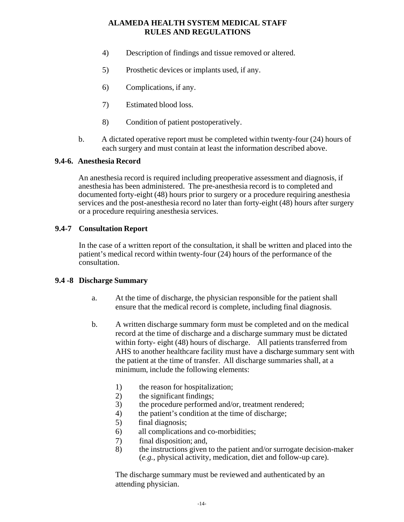- 4) Description of findings and tissue removed or altered.
- 5) Prosthetic devices or implants used, if any.
- 6) Complications, if any.
- 7) Estimated blood loss.
- 8) Condition of patient postoperatively.
- b. A dictated operative report must be completed within twenty-four (24) hours of each surgery and must contain at least the information described above.

#### **9.4-6. Anesthesia Record**

An anesthesia record is required including preoperative assessment and diagnosis, if anesthesia has been administered. The pre-anesthesia record is to completed and documented forty-eight (48) hours prior to surgery or a procedure requiring anesthesia services and the post-anesthesia record no later than forty-eight (48) hours after surgery or a procedure requiring anesthesia services.

### **9.4-7 Consultation Report**

In the case of a written report of the consultation, it shall be written and placed into the patient's medical record within twenty-four (24) hours of the performance of the consultation.

#### **9.4 -8 Discharge Summary**

- a. At the time of discharge, the physician responsible for the patient shall ensure that the medical record is complete, including final diagnosis.
- b. A written discharge summary form must be completed and on the medical record at the time of discharge and a discharge summary must be dictated within forty- eight (48) hours of discharge. All patients transferred from AHS to another healthcare facility must have a discharge summary sent with the patient at the time of transfer. All discharge summaries shall, at a minimum, include the following elements:
	- 1) the reason for hospitalization;
	- 2) the significant findings;
	- 3) the procedure performed and/or, treatment rendered;
	- 4) the patient's condition at the time of discharge;
	- 5) final diagnosis;
	- 6) all complications and co-morbidities;
	- 7) final disposition; and,
	- 8) the instructions given to the patient and/or surrogate decision-maker (*e.g.*, physical activity, medication, diet and follow-up care).

The discharge summary must be reviewed and authenticated by an attending physician.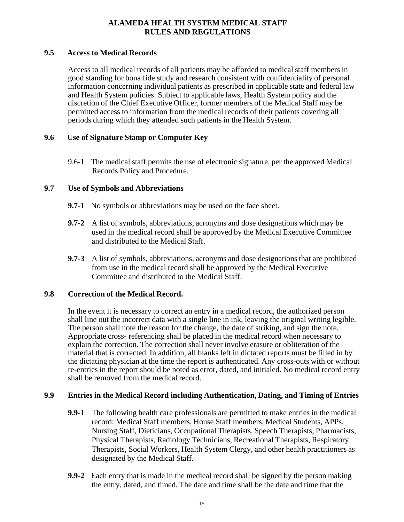#### **9.5 Access to Medical Records**

Access to all medical records of all patients may be afforded to medical staff members in good standing for bona fide study and research consistent with confidentiality of personal information concerning individual patients as prescribed in applicable state and federal law and Health System policies. Subject to applicable laws, Health System policy and the discretion of the Chief Executive Officer, former members of the Medical Staff may be permitted access to information from the medical records of their patients covering all periods during which they attended such patients in the Health System.

## **9.6 Use of Signature Stamp or Computer Key**

9.6-1 The medical staff permits the use of electronic signature, per the approved Medical Records Policy and Procedure.

### **9.7 Use of Symbols and Abbreviations**

- **9.7-1** No symbols or abbreviations may be used on the face sheet.
- **9.7-2** A list of symbols, abbreviations, acronyms and dose designations which may be used in the medical record shall be approved by the Medical Executive Committee and distributed to the Medical Staff.
- **9.7-3** A list of symbols, abbreviations, acronyms and dose designations that are prohibited from use in the medical record shall be approved by the Medical Executive Committee and distributed to the Medical Staff.

#### **9.8 Correction of the Medical Record.**

In the event it is necessary to correct an entry in a medical record, the authorized person shall line out the incorrect data with a single line in ink, leaving the original writing legible. The person shall note the reason for the change, the date of striking, and sign the note. Appropriate cross- referencing shall be placed in the medical record when necessary to explain the correction. The correction shall never involve erasure or obliteration of the material that is corrected. In addition, all blanks left in dictated reports must be filled in by the dictating physician at the time the report is authenticated. Any cross-outs with or without re-entries in the report should be noted as error, dated, and initialed. No medical record entry shall be removed from the medical record.

#### **9.9 Entries in the Medical Record including Authentication, Dating, and Timing of Entries**

- **9.9-1** The following health care professionals are permitted to make entries in the medical record: Medical Staff members, House Staff members, Medical Students, APPs, Nursing Staff, Dieticians, Occupational Therapists, Speech Therapists, Pharmacists, Physical Therapists, Radiology Technicians, Recreational Therapists, Respiratory Therapists, Social Workers, Health System Clergy, and other health practitioners as designated by the Medical Staff.
- **9.9-2** Each entry that is made in the medical record shall be signed by the person making the entry, dated, and timed. The date and time shall be the date and time that the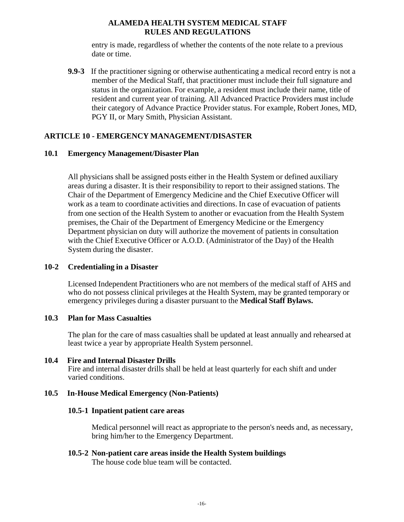entry is made, regardless of whether the contents of the note relate to a previous date or time.

**9.9-3** If the practitioner signing or otherwise authenticating a medical record entry is not a member of the Medical Staff, that practitioner must include their full signature and status in the organization. For example, a resident must include their name, title of resident and current year of training. All Advanced Practice Providers must include their category of Advance Practice Provider status. For example, Robert Jones, MD, PGY II, or Mary Smith, Physician Assistant.

### **ARTICLE 10 - EMERGENCY MANAGEMENT/DISASTER**

#### **10.1 Emergency Management/Disaster Plan**

All physicians shall be assigned posts either in the Health System or defined auxiliary areas during a disaster. It is their responsibility to report to their assigned stations. The Chair of the Department of Emergency Medicine and the Chief Executive Officer will work as a team to coordinate activities and directions. In case of evacuation of patients from one section of the Health System to another or evacuation from the Health System premises, the Chair of the Department of Emergency Medicine or the Emergency Department physician on duty will authorize the movement of patients in consultation with the Chief Executive Officer or A.O.D. (Administrator of the Day) of the Health System during the disaster.

#### **10-2 Credentialing in a Disaster**

Licensed Independent Practitioners who are not members of the medical staff of AHS and who do not possess clinical privileges at the Health System, may be granted temporary or emergency privileges during a disaster pursuant to the **Medical Staff Bylaws.**

#### **10.3 Plan for Mass Casualties**

The plan for the care of mass casualties shall be updated at least annually and rehearsed at least twice a year by appropriate Health System personnel.

#### **10.4 Fire and Internal Disaster Drills**

Fire and internal disaster drills shall be held at least quarterly for each shift and under varied conditions.

#### **10.5 In-House Medical Emergency (Non-Patients)**

#### **10.5-1 Inpatient patient care areas**

Medical personnel will react as appropriate to the person's needs and, as necessary, bring him/her to the Emergency Department.

**10.5-2 Non-patient care areas inside the Health System buildings**

The house code blue team will be contacted.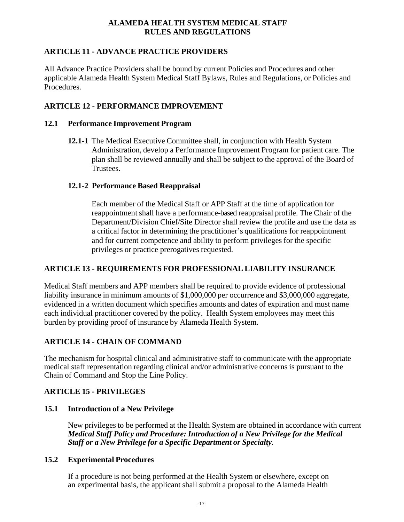## **ARTICLE 11 - ADVANCE PRACTICE PROVIDERS**

All Advance Practice Providers shall be bound by current Policies and Procedures and other applicable Alameda Health System Medical Staff Bylaws, Rules and Regulations, or Policies and Procedures.

# **ARTICLE 12 - PERFORMANCE IMPROVEMENT**

## **12.1 Performance Improvement Program**

**12.1-1** The Medical Executive Committee shall, in conjunction with Health System Administration, develop a Performance Improvement Program for patient care. The plan shall be reviewed annually and shall be subject to the approval of the Board of Trustees.

## **12.1-2 Performance Based Reappraisal**

Each member of the Medical Staff or APP Staff at the time of application for reappointment shall have a performance-based reappraisal profile. The Chair of the Department/Division Chief/Site Director shall review the profile and use the data as a critical factor in determining the practitioner's qualifications for reappointment and for current competence and ability to perform privileges for the specific privileges or practice prerogatives requested.

# **ARTICLE 13 - REQUIREMENTS FOR PROFESSIONAL LIABILITY INSURANCE**

Medical Staff members and APP members shall be required to provide evidence of professional liability insurance in minimum amounts of \$1,000,000 per occurrence and \$3,000,000 aggregate, evidenced in a written document which specifies amounts and dates of expiration and must name each individual practitioner covered by the policy. Health System employees may meet this burden by providing proof of insurance by Alameda Health System.

# **ARTICLE 14 - CHAIN OF COMMAND**

The mechanism for hospital clinical and administrative staff to communicate with the appropriate medical staff representation regarding clinical and/or administrative concerns is pursuant to the Chain of Command and Stop the Line Policy.

# **ARTICLE 15 - PRIVILEGES**

## **15.1 Introduction of a New Privilege**

New privileges to be performed at the Health System are obtained in accordance with current *Medical Staff Policy and Procedure: Introduction of a New Privilege for the Medical Staff or a New Privilege for a Specific Department or Specialty*.

## **15.2 Experimental Procedures**

If a procedure is not being performed at the Health System or elsewhere, except on an experimental basis, the applicant shall submit a proposal to the Alameda Health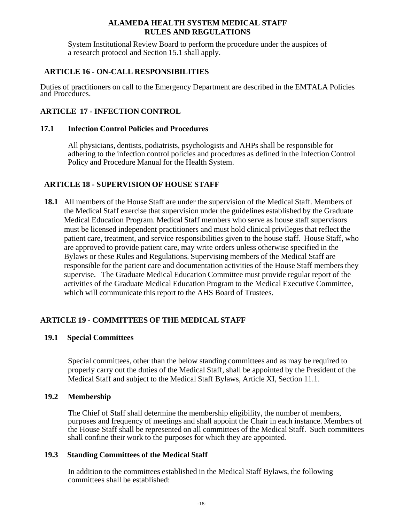System Institutional Review Board to perform the procedure under the auspices of a research protocol and Section 15.1 shall apply.

## **ARTICLE 16 - ON-CALL RESPONSIBILITIES**

Duties of practitioners on call to the Emergency Department are described in the EMTALA Policies and Procedures.

## **ARTICLE 17 - INFECTION CONTROL**

## **17.1 Infection Control Policies and Procedures**

All physicians, dentists, podiatrists, psychologists and AHPs shall be responsible for adhering to the infection control policies and procedures as defined in the Infection Control Policy and Procedure Manual for the Health System.

## **ARTICLE 18 - SUPERVISION OF HOUSE STAFF**

**18.1** All members of the House Staff are under the supervision of the Medical Staff. Members of the Medical Staff exercise that supervision under the guidelines established by the Graduate Medical Education Program. Medical Staff members who serve as house staff supervisors must be licensed independent practitioners and must hold clinical privileges that reflect the patient care, treatment, and service responsibilities given to the house staff. House Staff, who are approved to provide patient care, may write orders unless otherwise specified in the Bylaws or these Rules and Regulations. Supervising members of the Medical Staff are responsible for the patient care and documentation activities of the House Staff members they supervise. The Graduate Medical Education Committee must provide regular report of the activities of the Graduate Medical Education Program to the Medical Executive Committee, which will communicate this report to the AHS Board of Trustees.

## **ARTICLE 19 - COMMITTEES OF THE MEDICAL STAFF**

## **19.1 Special Committees**

Special committees, other than the below standing committees and as may be required to properly carry out the duties of the Medical Staff, shall be appointed by the President of the Medical Staff and subject to the Medical Staff Bylaws, Article XI, Section 11.1.

## **19.2 Membership**

The Chief of Staff shall determine the membership eligibility, the number of members, purposes and frequency of meetings and shall appoint the Chair in each instance. Members of the House Staff shall be represented on all committees of the Medical Staff. Such committees shall confine their work to the purposes for which they are appointed.

#### **19.3 Standing Committees of the Medical Staff**

In addition to the committees established in the Medical Staff Bylaws, the following committees shall be established: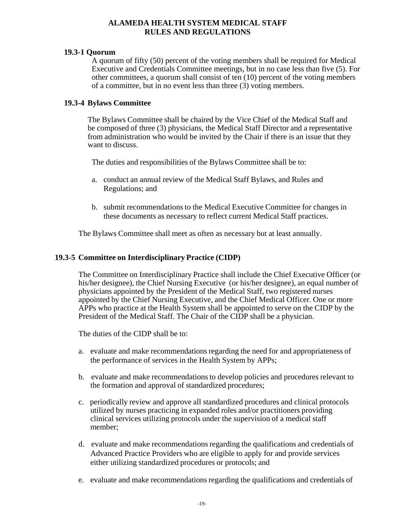#### **19.3-1 Quorum**

A quorum of fifty (50) percent of the voting members shall be required for Medical Executive and Credentials Committee meetings, but in no case less than five (5). For other committees, a quorum shall consist of ten (10) percent of the voting members of a committee, but in no event less than three (3) voting members.

#### **19.3-4 Bylaws Committee**

The Bylaws Committee shall be chaired by the Vice Chief of the Medical Staff and be composed of three (3) physicians, the Medical Staff Director and a representative from administration who would be invited by the Chair if there is an issue that they want to discuss.

The duties and responsibilities of the Bylaws Committee shall be to:

- a. conduct an annual review of the Medical Staff Bylaws, and Rules and Regulations; and
- b. submit recommendations to the Medical Executive Committee for changes in these documents as necessary to reflect current Medical Staff practices.

The Bylaws Committee shall meet as often as necessary but at least annually.

#### **19.3-5 Committee on Interdisciplinary Practice (CIDP)**

The Committee on Interdisciplinary Practice shall include the Chief Executive Officer (or his/her designee), the Chief Nursing Executive (or his/her designee), an equal number of physicians appointed by the President of the Medical Staff, two registered nurses appointed by the Chief Nursing Executive, and the Chief Medical Officer. One or more APPs who practice at the Health System shall be appointed to serve on the CIDP by the President of the Medical Staff. The Chair of the CIDP shall be a physician.

The duties of the CIDP shall be to:

- a. evaluate and make recommendations regarding the need for and appropriateness of the performance of services in the Health System by APPs;
- b. evaluate and make recommendations to develop policies and procedures relevant to the formation and approval of standardized procedures;
- c. periodically review and approve all standardized procedures and clinical protocols utilized by nurses practicing in expanded roles and/or practitioners providing clinical services utilizing protocols under the supervision of a medical staff member;
- d. evaluate and make recommendations regarding the qualifications and credentials of Advanced Practice Providers who are eligible to apply for and provide services either utilizing standardized procedures or protocols; and
- e. evaluate and make recommendations regarding the qualifications and credentials of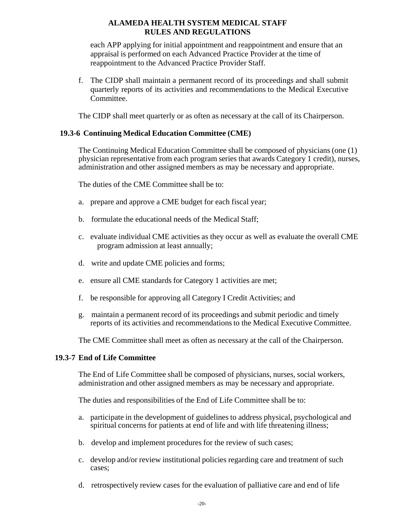each APP applying for initial appointment and reappointment and ensure that an appraisal is performed on each Advanced Practice Provider at the time of reappointment to the Advanced Practice Provider Staff.

f. The CIDP shall maintain a permanent record of its proceedings and shall submit quarterly reports of its activities and recommendations to the Medical Executive Committee.

The CIDP shall meet quarterly or as often as necessary at the call of its Chairperson.

#### **19.3-6 Continuing Medical Education Committee (CME)**

The Continuing Medical Education Committee shall be composed of physicians (one (1) physician representative from each program series that awards Category 1 credit), nurses, administration and other assigned members as may be necessary and appropriate.

The duties of the CME Committee shall be to:

- a. prepare and approve a CME budget for each fiscal year;
- b. formulate the educational needs of the Medical Staff;
- c. evaluate individual CME activities as they occur as well as evaluate the overall CME program admission at least annually;
- d. write and update CME policies and forms;
- e. ensure all CME standards for Category 1 activities are met;
- f. be responsible for approving all Category I Credit Activities; and
- g. maintain a permanent record of its proceedings and submit periodic and timely reports of its activities and recommendations to the Medical Executive Committee.

The CME Committee shall meet as often as necessary at the call of the Chairperson.

#### **19.3**-**7 End of Life Committee**

The End of Life Committee shall be composed of physicians, nurses, social workers, administration and other assigned members as may be necessary and appropriate.

The duties and responsibilities of the End of Life Committee shall be to:

- a. participate in the development of guidelines to address physical, psychological and spiritual concerns for patients at end of life and with life threatening illness;
- b. develop and implement procedures for the review of such cases;
- c. develop and/or review institutional policies regarding care and treatment of such cases;
- d. retrospectively review cases for the evaluation of palliative care and end of life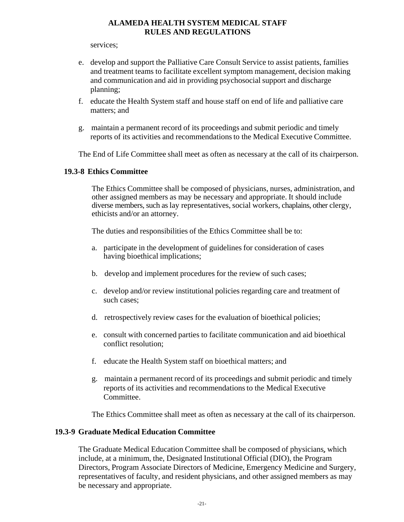services;

- e. develop and support the Palliative Care Consult Service to assist patients, families and treatment teams to facilitate excellent symptom management, decision making and communication and aid in providing psychosocial support and discharge planning;
- f. educate the Health System staff and house staff on end of life and palliative care matters; and
- g. maintain a permanent record of its proceedings and submit periodic and timely reports of its activities and recommendations to the Medical Executive Committee.

The End of Life Committee shall meet as often as necessary at the call of its chairperson.

### **19.3-8 Ethics Committee**

The Ethics Committee shall be composed of physicians, nurses, administration, and other assigned members as may be necessary and appropriate. It should include diverse members, such as lay representatives, social workers, chaplains, other clergy, ethicists and/or an attorney.

The duties and responsibilities of the Ethics Committee shall be to:

- a. participate in the development of guidelines for consideration of cases having bioethical implications;
- b. develop and implement procedures for the review of such cases;
- c. develop and/or review institutional policies regarding care and treatment of such cases;
- d. retrospectively review cases for the evaluation of bioethical policies;
- e. consult with concerned parties to facilitate communication and aid bioethical conflict resolution;
- f. educate the Health System staff on bioethical matters; and
- g. maintain a permanent record of its proceedings and submit periodic and timely reports of its activities and recommendations to the Medical Executive Committee.

The Ethics Committee shall meet as often as necessary at the call of its chairperson.

#### **19.3-9 Graduate Medical Education Committee**

The Graduate Medical Education Committee shall be composed of physicians, which include, at a minimum, the, Designated Institutional Official (DIO), the Program Directors, Program Associate Directors of Medicine, Emergency Medicine and Surgery, representatives of faculty, and resident physicians, and other assigned members as may be necessary and appropriate.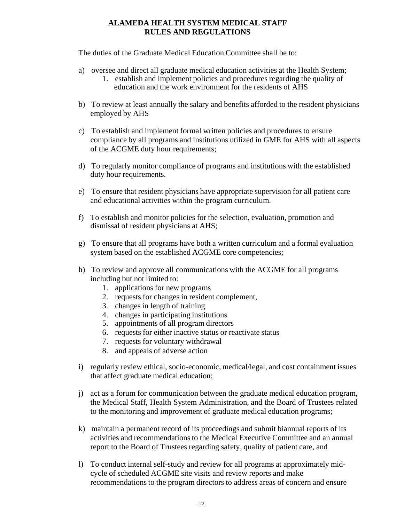The duties of the Graduate Medical Education Committee shall be to:

- a) oversee and direct all graduate medical education activities at the Health System;
	- 1. establish and implement policies and procedures regarding the quality of education and the work environment for the residents of AHS
- b) To review at least annually the salary and benefits afforded to the resident physicians employed by AHS
- c) To establish and implement formal written policies and procedures to ensure compliance by all programs and institutions utilized in GME for AHS with all aspects of the ACGME duty hour requirements;
- d) To regularly monitor compliance of programs and institutions with the established duty hour requirements.
- e) To ensure that resident physicians have appropriate supervision for all patient care and educational activities within the program curriculum.
- f) To establish and monitor policies for the selection, evaluation, promotion and dismissal of resident physicians at AHS;
- g) To ensure that all programs have both a written curriculum and a formal evaluation system based on the established ACGME core competencies;
- h) To review and approve all communications with the ACGME for all programs including but not limited to:
	- 1. applications for new programs
	- 2. requests for changes in resident complement,
	- 3. changes in length of training
	- 4. changes in participating institutions
	- 5. appointments of all program directors
	- 6. requests for either inactive status or reactivate status
	- 7. requests for voluntary withdrawal
	- 8. and appeals of adverse action
- i) regularly review ethical, socio-economic, medical/legal, and cost containment issues that affect graduate medical education;
- j) act as a forum for communication between the graduate medical education program, the Medical Staff, Health System Administration, and the Board of Trustees related to the monitoring and improvement of graduate medical education programs;
- k) maintain a permanent record of its proceedings and submit biannual reports of its activities and recommendations to the Medical Executive Committee and an annual report to the Board of Trustees regarding safety, quality of patient care, and
- l) To conduct internal self-study and review for all programs at approximately midcycle of scheduled ACGME site visits and review reports and make recommendations to the program directors to address areas of concern and ensure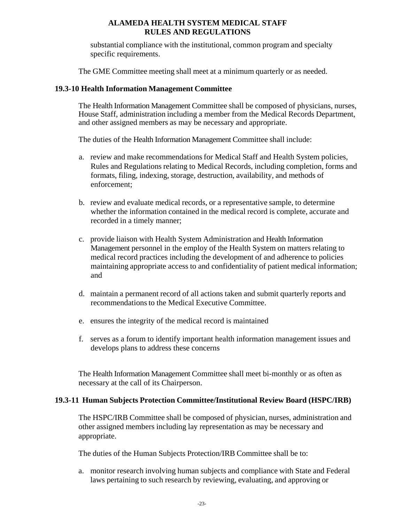substantial compliance with the institutional, common program and specialty specific requirements.

The GME Committee meeting shall meet at a minimum quarterly or as needed.

#### **19.3-10 Health Information Management Committee**

The Health Information Management Committee shall be composed of physicians, nurses, House Staff, administration including a member from the Medical Records Department, and other assigned members as may be necessary and appropriate.

The duties of the Health Information Management Committee shall include:

- a. review and make recommendations for Medical Staff and Health System policies, Rules and Regulations relating to Medical Records, including completion, forms and formats, filing, indexing, storage, destruction, availability, and methods of enforcement;
- b. review and evaluate medical records, or a representative sample, to determine whether the information contained in the medical record is complete, accurate and recorded in a timely manner;
- c. provide liaison with Health System Administration and Health Information Management personnel in the employ of the Health System on matters relating to medical record practices including the development of and adherence to policies maintaining appropriate access to and confidentiality of patient medical information; and
- d. maintain a permanent record of all actions taken and submit quarterly reports and recommendations to the Medical Executive Committee.
- e. ensures the integrity of the medical record is maintained
- f. serves as a forum to identify important health information management issues and develops plans to address these concerns

The Health Information Management Committee shall meet bi-monthly or as often as necessary at the call of its Chairperson.

#### **19.3-11 Human Subjects Protection Committee/Institutional Review Board (HSPC/IRB)**

The HSPC/IRB Committee shall be composed of physician, nurses, administration and other assigned members including lay representation as may be necessary and appropriate.

The duties of the Human Subjects Protection/IRB Committee shall be to:

a. monitor research involving human subjects and compliance with State and Federal laws pertaining to such research by reviewing, evaluating, and approving or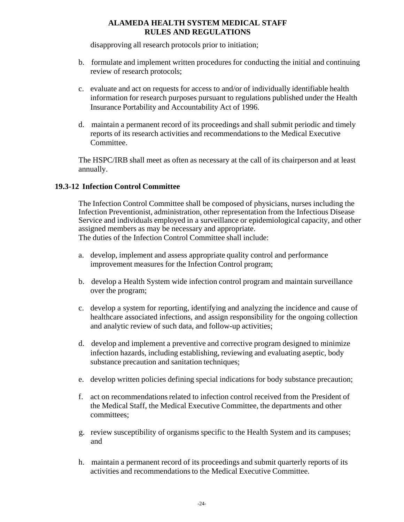disapproving all research protocols prior to initiation;

- b. formulate and implement written procedures for conducting the initial and continuing review of research protocols;
- c. evaluate and act on requests for access to and/or of individually identifiable health information for research purposes pursuant to regulations published under the Health Insurance Portability and Accountability Act of 1996.
- d. maintain a permanent record of its proceedings and shall submit periodic and timely reports of its research activities and recommendations to the Medical Executive Committee.

The HSPC/IRB shall meet as often as necessary at the call of its chairperson and at least annually.

## **19.3-12 Infection Control Committee**

The Infection Control Committee shall be composed of physicians, nurses including the Infection Preventionist, administration, other representation from the Infectious Disease Service and individuals employed in a surveillance or epidemiological capacity, and other assigned members as may be necessary and appropriate. The duties of the Infection Control Committee shall include:

- a. develop, implement and assess appropriate quality control and performance
	- improvement measures for the Infection Control program;
- b. develop a Health System wide infection control program and maintain surveillance over the program;
- c. develop a system for reporting, identifying and analyzing the incidence and cause of healthcare associated infections, and assign responsibility for the ongoing collection and analytic review of such data, and follow-up activities;
- d. develop and implement a preventive and corrective program designed to minimize infection hazards, including establishing, reviewing and evaluating aseptic, body substance precaution and sanitation techniques;
- e. develop written policies defining special indications for body substance precaution;
- f. act on recommendations related to infection control received from the President of the Medical Staff, the Medical Executive Committee, the departments and other committees;
- g. review susceptibility of organisms specific to the Health System and its campuses; and
- h. maintain a permanent record of its proceedings and submit quarterly reports of its activities and recommendations to the Medical Executive Committee.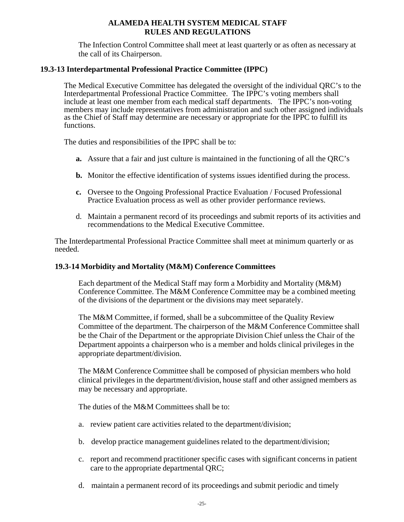The Infection Control Committee shall meet at least quarterly or as often as necessary at the call of its Chairperson.

#### **19.3-13 Interdepartmental Professional Practice Committee (IPPC)**

The Medical Executive Committee has delegated the oversight of the individual QRC's to the Interdepartmental Professional Practice Committee. The IPPC's voting members shall include at least one member from each medical staff departments. The IPPC's non-voting members may include representatives from administration and such other assigned individuals as the Chief of Staff may determine are necessary or appropriate for the IPPC to fulfill its functions.

The duties and responsibilities of the IPPC shall be to:

- **a.** Assure that a fair and just culture is maintained in the functioning of all the QRC's
- **b.** Monitor the effective identification of systems issues identified during the process.
- **c.** Oversee to the Ongoing Professional Practice Evaluation / Focused Professional Practice Evaluation process as well as other provider performance reviews.
- d. Maintain a permanent record of its proceedings and submit reports of its activities and recommendations to the Medical Executive Committee.

The Interdepartmental Professional Practice Committee shall meet at minimum quarterly or as needed.

#### **19.3-14 Morbidity and Mortality (M&M) Conference Committees**

Each department of the Medical Staff may form a Morbidity and Mortality (M&M) Conference Committee. The M&M Conference Committee may be a combined meeting of the divisions of the department or the divisions may meet separately.

The M&M Committee, if formed, shall be a subcommittee of the Quality Review Committee of the department. The chairperson of the M&M Conference Committee shall be the Chair of the Department or the appropriate Division Chief unless the Chair of the Department appoints a chairperson who is a member and holds clinical privileges in the appropriate department/division.

The M&M Conference Committee shall be composed of physician members who hold clinical privileges in the department/division, house staff and other assigned members as may be necessary and appropriate.

The duties of the M&M Committees shall be to:

- a. review patient care activities related to the department/division;
- b. develop practice management guidelines related to the department/division;
- c. report and recommend practitioner specific cases with significant concerns in patient care to the appropriate departmental QRC;
- d. maintain a permanent record of its proceedings and submit periodic and timely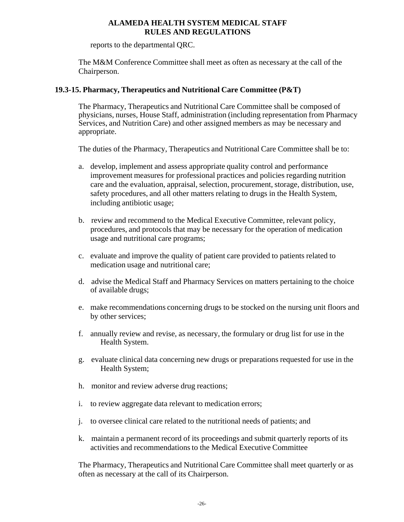reports to the departmental QRC.

The M&M Conference Committee shall meet as often as necessary at the call of the Chairperson.

### **19.3-15. Pharmacy, Therapeutics and Nutritional Care Committee (P&T)**

The Pharmacy, Therapeutics and Nutritional Care Committee shall be composed of physicians, nurses, House Staff, administration (including representation from Pharmacy Services, and Nutrition Care) and other assigned members as may be necessary and appropriate.

The duties of the Pharmacy, Therapeutics and Nutritional Care Committee shall be to:

- a. develop, implement and assess appropriate quality control and performance improvement measures for professional practices and policies regarding nutrition care and the evaluation, appraisal, selection, procurement, storage, distribution, use, safety procedures, and all other matters relating to drugs in the Health System, including antibiotic usage;
- b. review and recommend to the Medical Executive Committee, relevant policy, procedures, and protocols that may be necessary for the operation of medication usage and nutritional care programs;
- c. evaluate and improve the quality of patient care provided to patients related to medication usage and nutritional care;
- d. advise the Medical Staff and Pharmacy Services on matters pertaining to the choice of available drugs;
- e. make recommendations concerning drugs to be stocked on the nursing unit floors and by other services;
- f. annually review and revise, as necessary, the formulary or drug list for use in the Health System.
- g. evaluate clinical data concerning new drugs or preparations requested for use in the Health System;
- h. monitor and review adverse drug reactions;
- i. to review aggregate data relevant to medication errors;
- j. to oversee clinical care related to the nutritional needs of patients; and
- k. maintain a permanent record of its proceedings and submit quarterly reports of its activities and recommendations to the Medical Executive Committee

The Pharmacy, Therapeutics and Nutritional Care Committee shall meet quarterly or as often as necessary at the call of its Chairperson.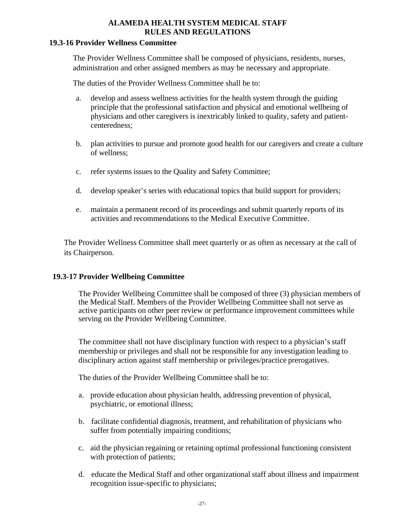#### **19.3-16 Provider Wellness Committee**

The Provider Wellness Committee shall be composed of physicians, residents, nurses, administration and other assigned members as may be necessary and appropriate.

The duties of the Provider Wellness Committee shall be to:

- a. develop and assess wellness activities for the health system through the guiding principle that the professional satisfaction and physical and emotional wellbeing of physicians and other caregivers is inextricably linked to quality, safety and patientcenteredness;
- b. plan activities to pursue and promote good health for our caregivers and create a culture of wellness;
- c. refer systems issues to the Quality and Safety Committee;
- d. develop speaker's series with educational topics that build support for providers;
- e. maintain a permanent record of its proceedings and submit quarterly reports of its activities and recommendations to the Medical Executive Committee.

The Provider Wellness Committee shall meet quarterly or as often as necessary at the call of its Chairperson.

#### **19.3-17 Provider Wellbeing Committee**

The Provider Wellbeing Committee shall be composed of three (3) physician members of the Medical Staff. Members of the Provider Wellbeing Committee shall not serve as active participants on other peer review or performance improvement committees while serving on the Provider Wellbeing Committee.

The committee shall not have disciplinary function with respect to a physician's staff membership or privileges and shall not be responsible for any investigation leading to disciplinary action against staff membership or privileges/practice prerogatives.

The duties of the Provider Wellbeing Committee shall be to:

- a. provide education about physician health, addressing prevention of physical, psychiatric, or emotional illness;
- b. facilitate confidential diagnosis, treatment, and rehabilitation of physicians who suffer from potentially impairing conditions;
- c. aid the physician regaining or retaining optimal professional functioning consistent with protection of patients;
- d. educate the Medical Staff and other organizational staff about illness and impairment recognition issue-specific to physicians;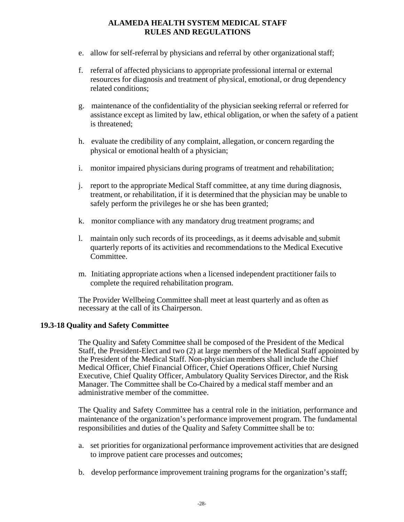- e. allow for self-referral by physicians and referral by other organizational staff;
- f. referral of affected physicians to appropriate professional internal or external resources for diagnosis and treatment of physical, emotional, or drug dependency related conditions;
- g. maintenance of the confidentiality of the physician seeking referral or referred for assistance except as limited by law, ethical obligation, or when the safety of a patient is threatened;
- h. evaluate the credibility of any complaint, allegation, or concern regarding the physical or emotional health of a physician;
- i. monitor impaired physicians during programs of treatment and rehabilitation;
- j. report to the appropriate Medical Staff committee, at any time during diagnosis, treatment, or rehabilitation, if it is determined that the physician may be unable to safely perform the privileges he or she has been granted;
- k. monitor compliance with any mandatory drug treatment programs; and
- l. maintain only such records of its proceedings, as it deems advisable and submit quarterly reports of its activities and recommendations to the Medical Executive Committee.
- m. Initiating appropriate actions when a licensed independent practitioner fails to complete the required rehabilitation program.

The Provider Wellbeing Committee shall meet at least quarterly and as often as necessary at the call of its Chairperson.

## **19.3-18 Quality and Safety Committee**

The Quality and Safety Committee shall be composed of the President of the Medical Staff, the President-Elect and two (2) at large members of the Medical Staff appointed by the President of the Medical Staff. Non-physician members shall include the Chief Medical Officer, Chief Financial Officer, Chief Operations Officer, Chief Nursing Executive, Chief Quality Officer, Ambulatory Quality Services Director, and the Risk Manager. The Committee shall be Co-Chaired by a medical staff member and an administrative member of the committee.

The Quality and Safety Committee has a central role in the initiation, performance and maintenance of the organization's performance improvement program. The fundamental responsibilities and duties of the Quality and Safety Committee shall be to:

- a. set priorities for organizational performance improvement activities that are designed to improve patient care processes and outcomes;
- b. develop performance improvement training programs for the organization's staff;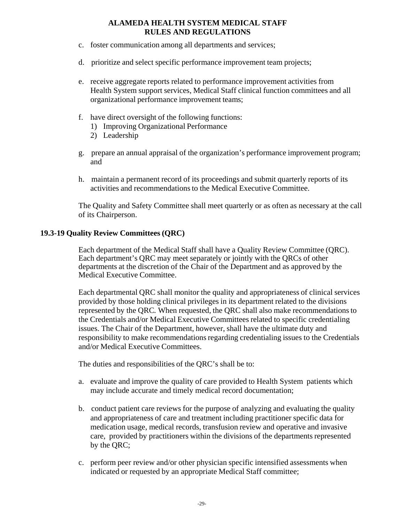- c. foster communication among all departments and services;
- d. prioritize and select specific performance improvement team projects;
- e. receive aggregate reports related to performance improvement activities from Health System support services, Medical Staff clinical function committees and all organizational performance improvement teams;
- f. have direct oversight of the following functions:
	- 1) Improving Organizational Performance
	- 2) Leadership
- g. prepare an annual appraisal of the organization's performance improvement program; and
- h. maintain a permanent record of its proceedings and submit quarterly reports of its activities and recommendations to the Medical Executive Committee.

The Quality and Safety Committee shall meet quarterly or as often as necessary at the call of its Chairperson.

### **19.3-19 Quality Review Committees (QRC)**

Each department of the Medical Staff shall have a Quality Review Committee (QRC). Each department's QRC may meet separately or jointly with the QRCs of other departments at the discretion of the Chair of the Department and as approved by the Medical Executive Committee.

Each departmental QRC shall monitor the quality and appropriateness of clinical services provided by those holding clinical privileges in its department related to the divisions represented by the QRC*.* When requested, the QRC shall also make recommendations to the Credentials and/or Medical Executive Committees related to specific credentialing issues. The Chair of the Department, however, shall have the ultimate duty and responsibility to make recommendations regarding credentialing issues to the Credentials and/or Medical Executive Committees.

The duties and responsibilities of the QRC's shall be to:

- a. evaluate and improve the quality of care provided to Health System patients which may include accurate and timely medical record documentation;
- b. conduct patient care reviews for the purpose of analyzing and evaluating the quality and appropriateness of care and treatment including practitioner specific data for medication usage, medical records, transfusion review and operative and invasive care, provided by practitioners within the divisions of the departments represented by the QRC;
- c. perform peer review and/or other physician specific intensified assessments when indicated or requested by an appropriate Medical Staff committee;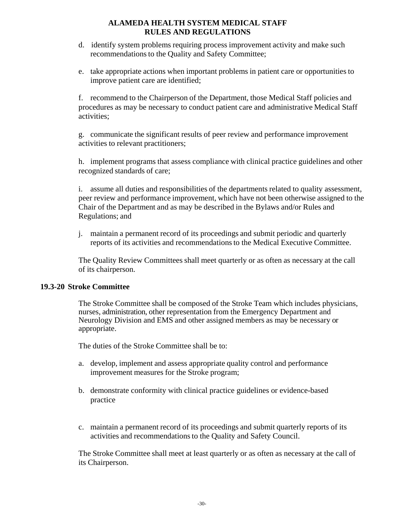- d. identify system problems requiring process improvement activity and make such recommendations to the Quality and Safety Committee;
- e. take appropriate actions when important problems in patient care or opportunities to improve patient care are identified;

f. recommend to the Chairperson of the Department, those Medical Staff policies and procedures as may be necessary to conduct patient care and administrative Medical Staff activities;

g. communicate the significant results of peer review and performance improvement activities to relevant practitioners;

h. implement programs that assess compliance with clinical practice guidelines and other recognized standards of care;

i. assume all duties and responsibilities of the departments related to quality assessment, peer review and performance improvement, which have not been otherwise assigned to the Chair of the Department and as may be described in the Bylaws and/or Rules and Regulations; and

j. maintain a permanent record of its proceedings and submit periodic and quarterly reports of its activities and recommendations to the Medical Executive Committee.

The Quality Review Committees shall meet quarterly or as often as necessary at the call of its chairperson.

## **19.3-20 Stroke Committee**

The Stroke Committee shall be composed of the Stroke Team which includes physicians, nurses, administration, other representation from the Emergency Department and Neurology Division and EMS and other assigned members as may be necessary or appropriate.

The duties of the Stroke Committee shall be to:

- a. develop, implement and assess appropriate quality control and performance improvement measures for the Stroke program;
- b. demonstrate conformity with clinical practice guidelines or evidence-based practice
- c. maintain a permanent record of its proceedings and submit quarterly reports of its activities and recommendations to the Quality and Safety Council.

The Stroke Committee shall meet at least quarterly or as often as necessary at the call of its Chairperson.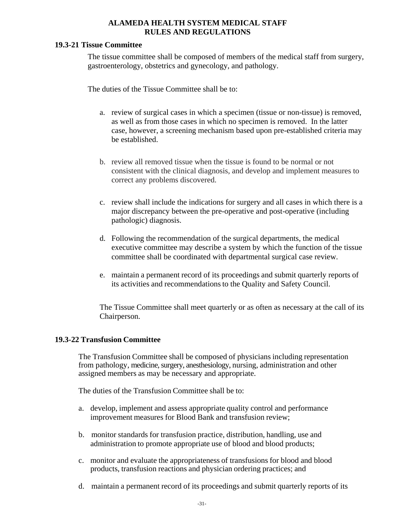## **19.3-21 Tissue Committee**

The tissue committee shall be composed of members of the medical staff from surgery, gastroenterology, obstetrics and gynecology, and pathology.

The duties of the Tissue Committee shall be to:

- a. review of surgical cases in which a specimen (tissue or non-tissue) is removed, as well as from those cases in which no specimen is removed. In the latter case, however, a screening mechanism based upon pre-established criteria may be established.
- b. review all removed tissue when the tissue is found to be normal or not consistent with the clinical diagnosis, and develop and implement measures to correct any problems discovered.
- c. review shall include the indications for surgery and all cases in which there is a major discrepancy between the pre-operative and post-operative (including pathologic) diagnosis.
- d. Following the recommendation of the surgical departments, the medical executive committee may describe a system by which the function of the tissue committee shall be coordinated with departmental surgical case review.
- e. maintain a permanent record of its proceedings and submit quarterly reports of its activities and recommendations to the Quality and Safety Council.

The Tissue Committee shall meet quarterly or as often as necessary at the call of its Chairperson.

## **19.3-22 Transfusion Committee**

The Transfusion Committee shall be composed of physicians including representation from pathology, medicine, surgery, anesthesiology, nursing, administration and other assigned members as may be necessary and appropriate.

The duties of the Transfusion Committee shall be to:

- a. develop, implement and assess appropriate quality control and performance improvement measures for Blood Bank and transfusion review;
- b. monitor standards for transfusion practice, distribution, handling, use and administration to promote appropriate use of blood and blood products;
- c. monitor and evaluate the appropriateness of transfusions for blood and blood products, transfusion reactions and physician ordering practices; and
- d. maintain a permanent record of its proceedings and submit quarterly reports of its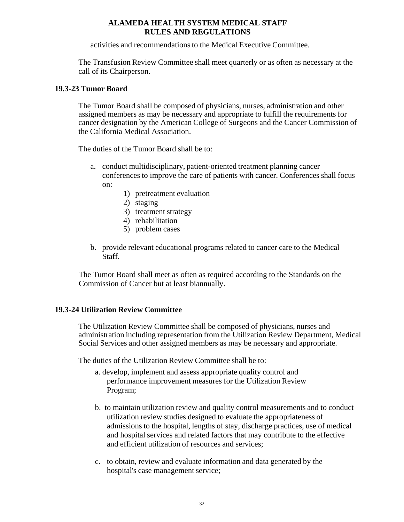activities and recommendations to the Medical Executive Committee.

The Transfusion Review Committee shall meet quarterly or as often as necessary at the call of its Chairperson.

#### **19.3-23 Tumor Board**

The Tumor Board shall be composed of physicians, nurses, administration and other assigned members as may be necessary and appropriate to fulfill the requirements for cancer designation by the American College of Surgeons and the Cancer Commission of the California Medical Association.

The duties of the Tumor Board shall be to:

- a. conduct multidisciplinary, patient-oriented treatment planning cancer conferences to improve the care of patients with cancer. Conferences shall focus on:
	- 1) pretreatment evaluation
	- 2) staging
	- 3) treatment strategy
	- 4) rehabilitation
	- 5) problem cases
- b. provide relevant educational programs related to cancer care to the Medical Staff.

The Tumor Board shall meet as often as required according to the Standards on the Commission of Cancer but at least biannually.

#### **19.3-24 Utilization Review Committee**

The Utilization Review Committee shall be composed of physicians, nurses and administration including representation from the Utilization Review Department, Medical Social Services and other assigned members as may be necessary and appropriate.

The duties of the Utilization Review Committee shall be to:

- a. develop, implement and assess appropriate quality control and performance improvement measures for the Utilization Review Program;
- b. to maintain utilization review and quality control measurements and to conduct utilization review studies designed to evaluate the appropriateness of admissions to the hospital, lengths of stay, discharge practices, use of medical and hospital services and related factors that may contribute to the effective and efficient utilization of resources and services;
- c. to obtain, review and evaluate information and data generated by the hospital's case management service;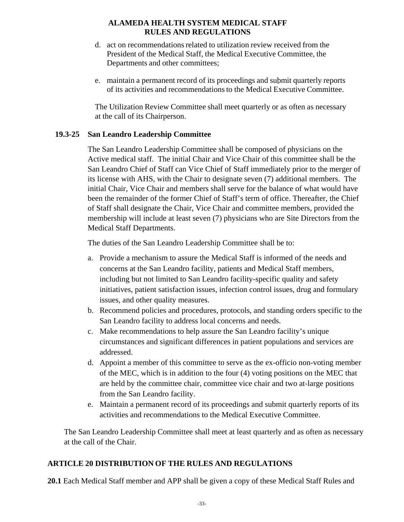- d. act on recommendations related to utilization review received from the President of the Medical Staff, the Medical Executive Committee, the Departments and other committees;
- e. maintain a permanent record of its proceedings and submit quarterly reports of its activities and recommendations to the Medical Executive Committee.

The Utilization Review Committee shall meet quarterly or as often as necessary at the call of its Chairperson.

## **19.3-25 San Leandro Leadership Committee**

The San Leandro Leadership Committee shall be composed of physicians on the Active medical staff. The initial Chair and Vice Chair of this committee shall be the San Leandro Chief of Staff can Vice Chief of Staff immediately prior to the merger of its license with AHS, with the Chair to designate seven (7) additional members. The initial Chair, Vice Chair and members shall serve for the balance of what would have been the remainder of the former Chief of Staff's term of office. Thereafter, the Chief of Staff shall designate the Chair, Vice Chair and committee members, provided the membership will include at least seven (7) physicians who are Site Directors from the Medical Staff Departments.

The duties of the San Leandro Leadership Committee shall be to:

- a. Provide a mechanism to assure the Medical Staff is informed of the needs and concerns at the San Leandro facility, patients and Medical Staff members, including but not limited to San Leandro facility-specific quality and safety initiatives, patient satisfaction issues, infection control issues, drug and formulary issues, and other quality measures.
- b. Recommend policies and procedures, protocols, and standing orders specific to the San Leandro facility to address local concerns and needs.
- c. Make recommendations to help assure the San Leandro facility's unique circumstances and significant differences in patient populations and services are addressed.
- d. Appoint a member of this committee to serve as the ex-officio non-voting member of the MEC, which is in addition to the four (4) voting positions on the MEC that are held by the committee chair, committee vice chair and two at-large positions from the San Leandro facility.
- e. Maintain a permanent record of its proceedings and submit quarterly reports of its activities and recommendations to the Medical Executive Committee.

The San Leandro Leadership Committee shall meet at least quarterly and as often as necessary at the call of the Chair.

## **ARTICLE 20 DISTRIBUTION OF THE RULES AND REGULATIONS**

**20.1** Each Medical Staff member and APP shall be given a copy of these Medical Staff Rules and